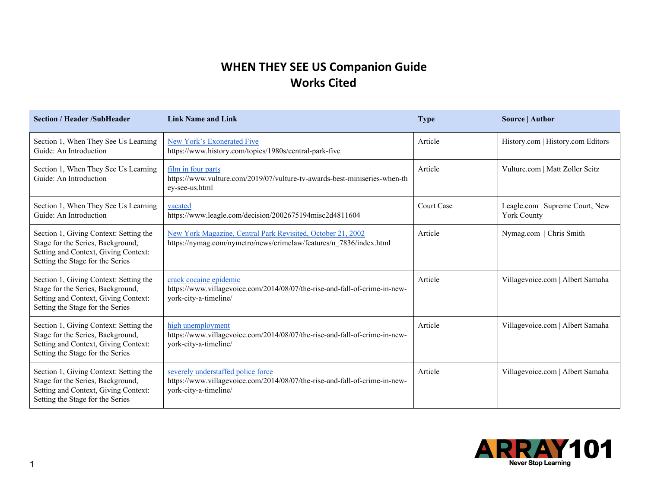## **WHEN THEY SEE US Companion Guide Works Cited**

| <b>Section / Header /SubHeader</b>                                                                                                                      | <b>Link Name and Link</b>                                                                                                                 | <b>Type</b> | Source   Author                                       |
|---------------------------------------------------------------------------------------------------------------------------------------------------------|-------------------------------------------------------------------------------------------------------------------------------------------|-------------|-------------------------------------------------------|
| Section 1, When They See Us Learning<br>Guide: An Introduction                                                                                          | New York's Exonerated Five<br>https://www.history.com/topics/1980s/central-park-five                                                      | Article     | History.com   History.com Editors                     |
| Section 1, When They See Us Learning<br>Guide: An Introduction                                                                                          | film in four parts<br>https://www.vulture.com/2019/07/vulture-tv-awards-best-miniseries-when-th<br>ey-see-us.html                         | Article     | Vulture.com   Matt Zoller Seitz                       |
| Section 1, When They See Us Learning<br>Guide: An Introduction                                                                                          | vacated<br>https://www.leagle.com/decision/2002675194misc2d4811604                                                                        | Court Case  | Leagle.com   Supreme Court, New<br><b>York County</b> |
| Section 1, Giving Context: Setting the<br>Stage for the Series, Background,<br>Setting and Context, Giving Context:<br>Setting the Stage for the Series | New York Magazine, Central Park Revisited, October 21, 2002<br>https://nymag.com/nymetro/news/crimelaw/features/n_7836/index.html         | Article     | Nymag.com   Chris Smith                               |
| Section 1, Giving Context: Setting the<br>Stage for the Series, Background,<br>Setting and Context, Giving Context:<br>Setting the Stage for the Series | crack cocaine epidemic<br>https://www.villagevoice.com/2014/08/07/the-rise-and-fall-of-crime-in-new-<br>york-city-a-timeline/             | Article     | Villagevoice.com   Albert Samaha                      |
| Section 1, Giving Context: Setting the<br>Stage for the Series, Background,<br>Setting and Context, Giving Context:<br>Setting the Stage for the Series | high unemployment<br>https://www.villagevoice.com/2014/08/07/the-rise-and-fall-of-crime-in-new-<br>york-city-a-timeline/                  | Article     | Villagevoice.com   Albert Samaha                      |
| Section 1, Giving Context: Setting the<br>Stage for the Series, Background,<br>Setting and Context, Giving Context:<br>Setting the Stage for the Series | severely understaffed police force<br>https://www.villagevoice.com/2014/08/07/the-rise-and-fall-of-crime-in-new-<br>york-city-a-timeline/ | Article     | Villagevoice.com   Albert Samaha                      |

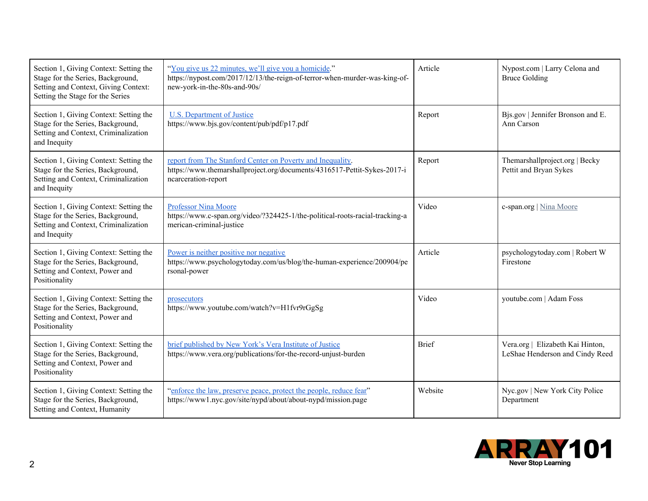| Section 1, Giving Context: Setting the<br>Stage for the Series, Background,<br>Setting and Context, Giving Context:<br>Setting the Stage for the Series | "You give us 22 minutes, we'll give you a homicide."<br>https://nypost.com/2017/12/13/the-reign-of-terror-when-murder-was-king-of-<br>new-york-in-the-80s-and-90s/ | Article      | Nypost.com   Larry Celona and<br><b>Bruce Golding</b>               |
|---------------------------------------------------------------------------------------------------------------------------------------------------------|--------------------------------------------------------------------------------------------------------------------------------------------------------------------|--------------|---------------------------------------------------------------------|
| Section 1, Giving Context: Setting the<br>Stage for the Series, Background,<br>Setting and Context, Criminalization<br>and Inequity                     | <b>U.S. Department of Justice</b><br>https://www.bjs.gov/content/pub/pdf/p17.pdf                                                                                   | Report       | Bjs.gov   Jennifer Bronson and E.<br>Ann Carson                     |
| Section 1, Giving Context: Setting the<br>Stage for the Series, Background,<br>Setting and Context, Criminalization<br>and Inequity                     | report from The Stanford Center on Poverty and Inequality.<br>https://www.themarshallproject.org/documents/4316517-Pettit-Sykes-2017-i<br>ncarceration-report      | Report       | Themarshallproject.org   Becky<br>Pettit and Bryan Sykes            |
| Section 1, Giving Context: Setting the<br>Stage for the Series, Background,<br>Setting and Context, Criminalization<br>and Inequity                     | <b>Professor Nina Moore</b><br>https://www.c-span.org/video/?324425-1/the-political-roots-racial-tracking-a<br>merican-criminal-justice                            | Video        | c-span.org   Nina Moore                                             |
| Section 1, Giving Context: Setting the<br>Stage for the Series, Background,<br>Setting and Context, Power and<br>Positionality                          | Power is neither positive nor negative<br>https://www.psychologytoday.com/us/blog/the-human-experience/200904/pe<br>rsonal-power                                   | Article      | psychologytoday.com   Robert W<br>Firestone                         |
| Section 1, Giving Context: Setting the<br>Stage for the Series, Background,<br>Setting and Context, Power and<br>Positionality                          | prosecutors<br>https://www.youtube.com/watch?v=H1fvr9rGgSg                                                                                                         | Video        | youtube.com   Adam Foss                                             |
| Section 1, Giving Context: Setting the<br>Stage for the Series, Background,<br>Setting and Context, Power and<br>Positionality                          | brief published by New York's Vera Institute of Justice<br>https://www.vera.org/publications/for-the-record-unjust-burden                                          | <b>Brief</b> | Vera.org   Elizabeth Kai Hinton,<br>LeShae Henderson and Cindy Reed |
| Section 1, Giving Context: Setting the<br>Stage for the Series, Background,<br>Setting and Context, Humanity                                            | "enforce the law, preserve peace, protect the people, reduce fear"<br>https://www1.nyc.gov/site/nypd/about/about-nypd/mission.page                                 | Website      | Nyc.gov   New York City Police<br>Department                        |

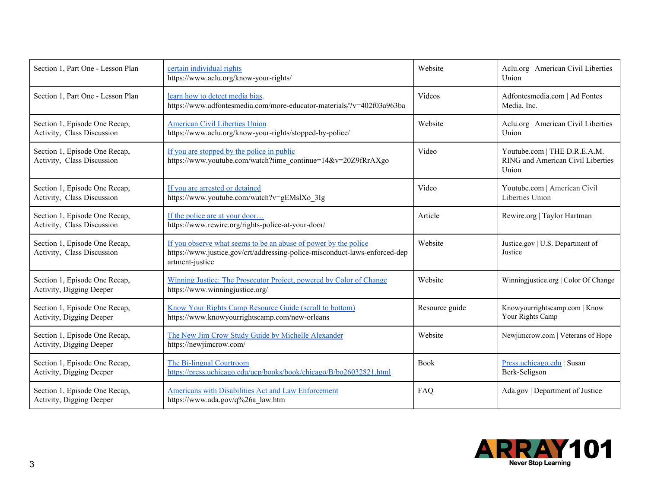| Section 1, Part One - Lesson Plan                           | certain individual rights<br>https://www.aclu.org/know-your-rights/                                                                                              | Website        | Aclu.org   American Civil Liberties<br>Union                               |
|-------------------------------------------------------------|------------------------------------------------------------------------------------------------------------------------------------------------------------------|----------------|----------------------------------------------------------------------------|
| Section 1, Part One - Lesson Plan                           | learn how to detect media bias.<br>https://www.adfontesmedia.com/more-educator-materials/?v=402f03a963ba                                                         | Videos         | Adfontesmedia.com   Ad Fontes<br>Media, Inc.                               |
| Section 1, Episode One Recap,<br>Activity, Class Discussion | <b>American Civil Liberties Union</b><br>https://www.aclu.org/know-your-rights/stopped-by-police/                                                                | Website        | Aclu.org   American Civil Liberties<br>Union                               |
| Section 1, Episode One Recap,<br>Activity, Class Discussion | If you are stopped by the police in public<br>https://www.youtube.com/watch?time_continue=14&v=20Z9fRrAXgo                                                       | Video          | Youtube.com   THE D.R.E.A.M.<br>RING and American Civil Liberties<br>Union |
| Section 1, Episode One Recap,<br>Activity, Class Discussion | If you are arrested or detained<br>https://www.youtube.com/watch?v=gEMslXo 3Ig                                                                                   | Video          | Youtube.com   American Civil<br>Liberties Union                            |
| Section 1, Episode One Recap,<br>Activity, Class Discussion | If the police are at your door<br>https://www.rewire.org/rights-police-at-your-door/                                                                             | Article        | Rewire.org   Taylor Hartman                                                |
| Section 1, Episode One Recap,<br>Activity, Class Discussion | If you observe what seems to be an abuse of power by the police<br>https://www.justice.gov/crt/addressing-police-misconduct-laws-enforced-dep<br>artment-justice | Website        | Justice.gov   U.S. Department of<br>Justice                                |
| Section 1, Episode One Recap,<br>Activity, Digging Deeper   | Winning Justice: The Prosecutor Project, powered by Color of Change<br>https://www.winningjustice.org/                                                           | Website        | Winningjustice.org   Color Of Change                                       |
| Section 1, Episode One Recap,<br>Activity, Digging Deeper   | Know Your Rights Camp Resource Guide (scroll to bottom)<br>https://www.knowyourrightscamp.com/new-orleans                                                        | Resource guide | Knowyourrightscamp.com   Know<br>Your Rights Camp                          |
| Section 1, Episode One Recap,<br>Activity, Digging Deeper   | The New Jim Crow Study Guide by Michelle Alexander<br>https://newjimcrow.com/                                                                                    | Website        | Newjimcrow.com   Veterans of Hope                                          |
| Section 1, Episode One Recap,<br>Activity, Digging Deeper   | The Bi-lingual Courtroom<br>https://press.uchicago.edu/ucp/books/book/chicago/B/bo26032821.html                                                                  | <b>Book</b>    | Press.uchicago.edu   Susan<br>Berk-Seligson                                |
| Section 1, Episode One Recap,<br>Activity, Digging Deeper   | Americans with Disabilities Act and Law Enforcement<br>https://www.ada.gov/q%26a law.htm                                                                         | FAQ            | Ada.gov   Department of Justice                                            |

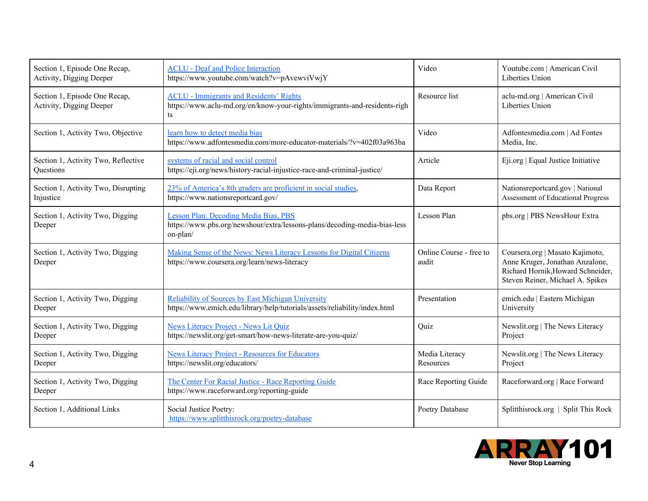| Section 1, Episode One Recap,<br>Activity, Digging Deeper | <b>ACLU</b> - Deaf and Police Interaction<br>https://www.youtube.com/watch?v=pAvewviVwjY                                          | Video                            | Youtube.com   American Civil<br>Liberties Union                                                                                             |
|-----------------------------------------------------------|-----------------------------------------------------------------------------------------------------------------------------------|----------------------------------|---------------------------------------------------------------------------------------------------------------------------------------------|
| Section 1, Episode One Recap,<br>Activity, Digging Deeper | <b>ACLU - Immigrants and Residents' Rights</b><br>https://www.aclu-md.org/en/know-your-rights/immigrants-and-residents-righ<br>ts | Resource list                    | aclu-md.org   American Civil<br>Liberties Union                                                                                             |
| Section 1, Activity Two, Objective                        | learn how to detect media bias<br>https://www.adfontesmedia.com/more-educator-materials/?v=402f03a963ba                           | Video                            | Adfontesmedia.com   Ad Fontes<br>Media, Inc.                                                                                                |
| Section 1, Activity Two, Reflective<br>Questions          | systems of racial and social control<br>https://eji.org/news/history-racial-injustice-race-and-criminal-justice/                  | Article                          | Eji.org   Equal Justice Initiative                                                                                                          |
| Section 1, Activity Two, Disrupting<br>Injustice          | 23% of America's 8th graders are proficient in social studies,<br>https://www.nationsreportcard.gov/                              | Data Report                      | Nationsreportcard.gov   National<br>Assessment of Educational Progress                                                                      |
| Section 1, Activity Two, Digging<br>Deeper                | Lesson Plan: Decoding Media Bias, PBS<br>https://www.pbs.org/newshour/extra/lessons-plans/decoding-media-bias-less<br>on-plan/    | Lesson Plan                      | pbs.org   PBS NewsHour Extra                                                                                                                |
| Section 1, Activity Two, Digging<br>Deeper                | Making Sense of the News: News Literacy Lessons for Digital Citizens<br>https://www.coursera.org/learn/news-literacy              | Online Course - free to<br>audit | Coursera.org   Masato Kajimoto,<br>Anne Kruger, Jonathan Anzalone,<br>Richard Hornik, Howard Schneider,<br>Steven Reiner, Michael A. Spikes |
| Section 1, Activity Two, Digging<br>Deeper                | Reliability of Sources by East Michigan University<br>https://www.emich.edu/library/help/tutorials/assets/reliability/index.html  | Presentation                     | emich.edu   Eastern Michigan<br>University                                                                                                  |
| Section 1, Activity Two, Digging<br>Deeper                | News Literacy Project - News Lit Quiz<br>https://newslit.org/get-smart/how-news-literate-are-you-quiz/                            | Quiz                             | Newslit.org   The News Literacy<br>Project                                                                                                  |
| Section 1, Activity Two, Digging<br>Deeper                | <b>News Literacy Project - Resources for Educators</b><br>https://newslit.org/educators/                                          | Media Literacy<br>Resources      | Newslit.org   The News Literacy<br>Project                                                                                                  |
| Section 1, Activity Two, Digging<br>Deeper                | The Center For Racial Justice - Race Reporting Guide<br>https://www.raceforward.org/reporting-guide                               | Race Reporting Guide             | Raceforward.org   Race Forward                                                                                                              |
| Section 1, Additional Links                               | Social Justice Poetry:<br>https://www.splitthisrock.org/poetry-database                                                           | Poetry Database                  | Splitthisrock.org   Split This Rock                                                                                                         |

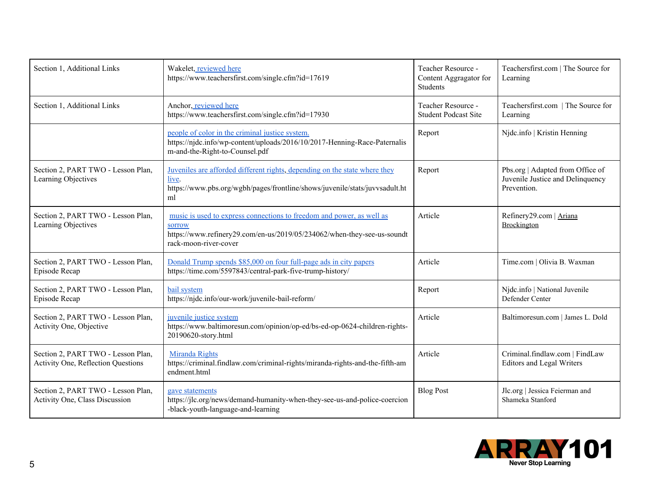| Section 1, Additional Links                                                     | Wakelet, reviewed here<br>https://www.teachersfirst.com/single.cfm?id=17619                                                                                                                | Teacher Resource -<br>Content Aggragator for<br>Students | Teachersfirst.com   The Source for<br>Learning                                      |
|---------------------------------------------------------------------------------|--------------------------------------------------------------------------------------------------------------------------------------------------------------------------------------------|----------------------------------------------------------|-------------------------------------------------------------------------------------|
| Section 1, Additional Links                                                     | Anchor, reviewed here<br>https://www.teachersfirst.com/single.cfm?id=17930                                                                                                                 | Teacher Resource -<br><b>Student Podcast Site</b>        | Teachersfirst.com   The Source for<br>Learning                                      |
|                                                                                 | people of color in the criminal justice system.<br>https://njdc.info/wp-content/uploads/2016/10/2017-Henning-Race-Paternalis<br>m-and-the-Right-to-Counsel.pdf                             | Report                                                   | Njdc.info   Kristin Henning                                                         |
| Section 2, PART TWO - Lesson Plan,<br>Learning Objectives                       | Juveniles are afforded different rights, depending on the state where they<br>live.<br>https://www.pbs.org/wgbh/pages/frontline/shows/juvenile/stats/juvvsadult.ht<br>ml                   | Report                                                   | Pbs.org   Adapted from Office of<br>Juvenile Justice and Delinquency<br>Prevention. |
| Section 2, PART TWO - Lesson Plan,<br>Learning Objectives                       | music is used to express connections to freedom and power, as well as<br><b>SOFFOW</b><br>https://www.refinery29.com/en-us/2019/05/234062/when-they-see-us-soundt<br>rack-moon-river-cover | Article                                                  | Refinery29.com   Ariana<br><b>Brockington</b>                                       |
| Section 2, PART TWO - Lesson Plan,<br>Episode Recap                             | Donald Trump spends \$85,000 on four full-page ads in city papers<br>https://time.com/5597843/central-park-five-trump-history/                                                             | Article                                                  | Time.com   Olivia B. Waxman                                                         |
| Section 2, PART TWO - Lesson Plan,<br>Episode Recap                             | bail system<br>https://njdc.info/our-work/juvenile-bail-reform/                                                                                                                            | Report                                                   | Njdc.info   National Juvenile<br>Defender Center                                    |
| Section 2, PART TWO - Lesson Plan,<br>Activity One, Objective                   | juvenile justice system<br>https://www.baltimoresun.com/opinion/op-ed/bs-ed-op-0624-children-rights-<br>20190620-story.html                                                                | Article                                                  | Baltimoresun.com   James L. Dold                                                    |
| Section 2, PART TWO - Lesson Plan,<br><b>Activity One, Reflection Questions</b> | Miranda Rights<br>https://criminal.findlaw.com/criminal-rights/miranda-rights-and-the-fifth-am<br>endment.html                                                                             | Article                                                  | Criminal.findlaw.com   FindLaw<br><b>Editors and Legal Writers</b>                  |
| Section 2, PART TWO - Lesson Plan,<br>Activity One, Class Discussion            | gave statements<br>https://jlc.org/news/demand-humanity-when-they-see-us-and-police-coercion<br>-black-youth-language-and-learning                                                         | <b>Blog Post</b>                                         | Jlc.org   Jessica Feierman and<br>Shameka Stanford                                  |

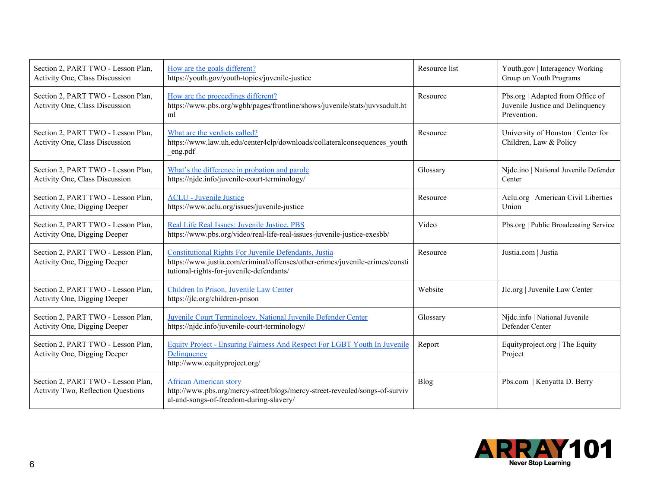| Section 2, PART TWO - Lesson Plan,<br>Activity One, Class Discussion            | How are the goals different?<br>https://youth.gov/youth-topics/juvenile-justice                                                                                                   | Resource list | Youth.gov   Interagency Working<br>Group on Youth Programs                          |
|---------------------------------------------------------------------------------|-----------------------------------------------------------------------------------------------------------------------------------------------------------------------------------|---------------|-------------------------------------------------------------------------------------|
| Section 2, PART TWO - Lesson Plan,<br>Activity One, Class Discussion            | How are the proceedings different?<br>https://www.pbs.org/wgbh/pages/frontline/shows/juvenile/stats/juvvsadult.ht<br>ml                                                           | Resource      | Pbs.org   Adapted from Office of<br>Juvenile Justice and Delinquency<br>Prevention. |
| Section 2, PART TWO - Lesson Plan,<br>Activity One, Class Discussion            | What are the verdicts called?<br>https://www.law.uh.edu/center4clp/downloads/collateralconsequences_youth<br>_eng.pdf                                                             | Resource      | University of Houston   Center for<br>Children, Law & Policy                        |
| Section 2, PART TWO - Lesson Plan,<br>Activity One, Class Discussion            | What's the difference in probation and parole<br>https://njdc.info/juvenile-court-terminology/                                                                                    | Glossary      | Njdc.ino   National Juvenile Defender<br>Center                                     |
| Section 2, PART TWO - Lesson Plan,<br>Activity One, Digging Deeper              | <b>ACLU - Juvenile Justice</b><br>https://www.aclu.org/issues/juvenile-justice                                                                                                    | Resource      | Aclu.org   American Civil Liberties<br>Union                                        |
| Section 2, PART TWO - Lesson Plan,<br>Activity One, Digging Deeper              | Real Life Real Issues: Juvenile Justice, PBS<br>https://www.pbs.org/video/real-life-real-issues-juvenile-justice-exesbb/                                                          | Video         | Pbs.org   Public Broadcasting Service                                               |
| Section 2, PART TWO - Lesson Plan,<br>Activity One, Digging Deeper              | Constitutional Rights For Juvenile Defendants, Justia<br>https://www.justia.com/criminal/offenses/other-crimes/juvenile-crimes/consti<br>tutional-rights-for-juvenile-defendants/ | Resource      | Justia.com   Justia                                                                 |
| Section 2, PART TWO - Lesson Plan,<br>Activity One, Digging Deeper              | Children In Prison, Juvenile Law Center<br>https://jlc.org/children-prison                                                                                                        | Website       | Jlc.org   Juvenile Law Center                                                       |
| Section 2, PART TWO - Lesson Plan,<br>Activity One, Digging Deeper              | Juvenile Court Terminology, National Juvenile Defender Center<br>https://njdc.info/juvenile-court-terminology/                                                                    | Glossary      | Njdc.info   National Juvenile<br>Defender Center                                    |
| Section 2, PART TWO - Lesson Plan,<br>Activity One, Digging Deeper              | <b>Equity Project - Ensuring Fairness And Respect For LGBT Youth In Juvenile</b><br>Delinquency<br>http://www.equityproject.org/                                                  | Report        | Equityproject.org   The Equity<br>Project                                           |
| Section 2, PART TWO - Lesson Plan,<br><b>Activity Two, Reflection Questions</b> | <b>African American story</b><br>http://www.pbs.org/mercy-street/blogs/mercy-street-revealed/songs-of-surviv<br>al-and-songs-of-freedom-during-slavery/                           | <b>Blog</b>   | Pbs.com   Kenyatta D. Berry                                                         |

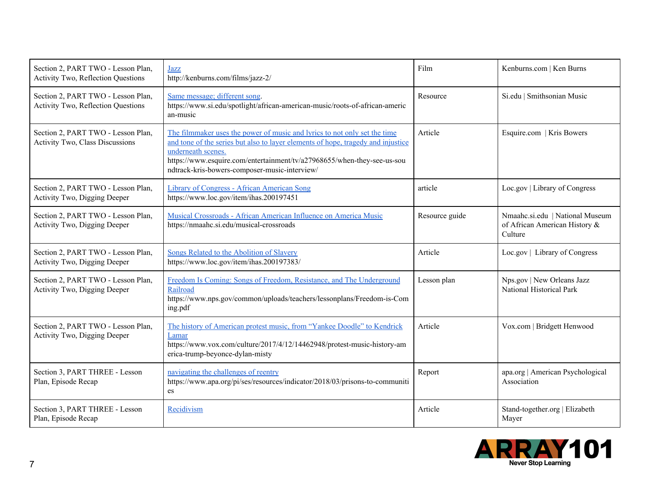| Section 2, PART TWO - Lesson Plan,<br><b>Activity Two, Reflection Questions</b> | Jazz<br>http://kenburns.com/films/jazz-2/                                                                                                                                                                                                                                                                       | Film           | Kenburns.com   Ken Burns                                                    |
|---------------------------------------------------------------------------------|-----------------------------------------------------------------------------------------------------------------------------------------------------------------------------------------------------------------------------------------------------------------------------------------------------------------|----------------|-----------------------------------------------------------------------------|
| Section 2, PART TWO - Lesson Plan,<br>Activity Two, Reflection Questions        | Same message; different song.<br>https://www.si.edu/spotlight/african-american-music/roots-of-african-americ<br>an-music                                                                                                                                                                                        | Resource       | Si.edu   Smithsonian Music                                                  |
| Section 2, PART TWO - Lesson Plan,<br><b>Activity Two, Class Discussions</b>    | The filmmaker uses the power of music and lyrics to not only set the time<br>and tone of the series but also to layer elements of hope, tragedy and injustice<br>underneath scenes.<br>https://www.esquire.com/entertainment/tv/a27968655/when-they-see-us-sou<br>ndtrack-kris-bowers-composer-music-interview/ | Article        | Esquire.com   Kris Bowers                                                   |
| Section 2, PART TWO - Lesson Plan,<br>Activity Two, Digging Deeper              | <b>Library of Congress - African American Song</b><br>https://www.loc.gov/item/ihas.200197451                                                                                                                                                                                                                   | article        | Loc.gov   Library of Congress                                               |
| Section 2, PART TWO - Lesson Plan,<br>Activity Two, Digging Deeper              | Musical Crossroads - African American Influence on America Music<br>https://nmaahc.si.edu/musical-crossroads                                                                                                                                                                                                    | Resource guide | Nmaahc.si.edu   National Museum<br>of African American History &<br>Culture |
| Section 2, PART TWO - Lesson Plan,<br>Activity Two, Digging Deeper              | Songs Related to the Abolition of Slavery<br>https://www.loc.gov/item/ihas.200197383/                                                                                                                                                                                                                           | Article        | Loc.gov   Library of Congress                                               |
| Section 2, PART TWO - Lesson Plan,<br>Activity Two, Digging Deeper              | Freedom Is Coming: Songs of Freedom, Resistance, and The Underground<br>Railroad<br>https://www.nps.gov/common/uploads/teachers/lessonplans/Freedom-is-Com<br>ing.pdf                                                                                                                                           | Lesson plan    | Nps.gov   New Orleans Jazz<br>National Historical Park                      |
| Section 2, PART TWO - Lesson Plan,<br>Activity Two, Digging Deeper              | The history of American protest music, from "Yankee Doodle" to Kendrick<br>Lamar<br>https://www.vox.com/culture/2017/4/12/14462948/protest-music-history-am<br>erica-trump-beyonce-dylan-misty                                                                                                                  | Article        | Vox.com   Bridgett Henwood                                                  |
| Section 3, PART THREE - Lesson<br>Plan, Episode Recap                           | navigating the challenges of reentry<br>https://www.apa.org/pi/ses/resources/indicator/2018/03/prisons-to-communiti<br>es                                                                                                                                                                                       | Report         | apa.org   American Psychological<br>Association                             |
| Section 3, PART THREE - Lesson<br>Plan, Episode Recap                           | Recidivism                                                                                                                                                                                                                                                                                                      | Article        | Stand-together.org   Elizabeth<br>Mayer                                     |

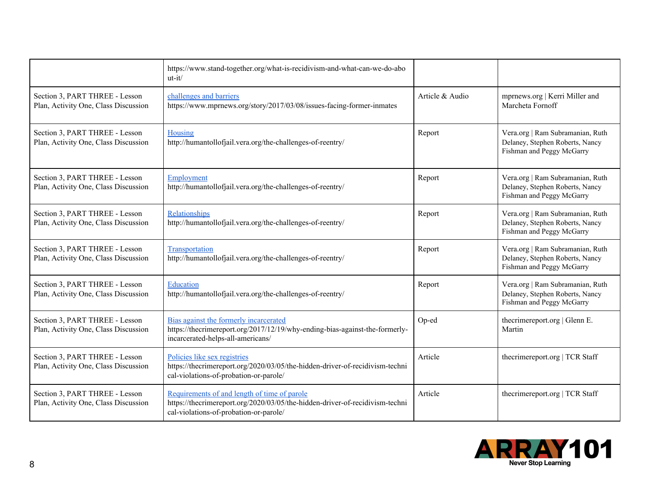|                                                                        | https://www.stand-together.org/what-is-recidivism-and-what-can-we-do-abo<br>$ut-it/$                                                                                   |                 |                                                                                                  |
|------------------------------------------------------------------------|------------------------------------------------------------------------------------------------------------------------------------------------------------------------|-----------------|--------------------------------------------------------------------------------------------------|
| Section 3, PART THREE - Lesson<br>Plan, Activity One, Class Discussion | challenges and barriers<br>https://www.mprnews.org/story/2017/03/08/issues-facing-former-inmates                                                                       | Article & Audio | mprnews.org   Kerri Miller and<br>Marcheta Fornoff                                               |
| Section 3, PART THREE - Lesson<br>Plan, Activity One, Class Discussion | Housing<br>http://humantollofjail.vera.org/the-challenges-of-reentry/                                                                                                  | Report          | Vera.org   Ram Subramanian, Ruth<br>Delaney, Stephen Roberts, Nancy<br>Fishman and Peggy McGarry |
| Section 3, PART THREE - Lesson<br>Plan, Activity One, Class Discussion | Employment<br>http://humantollofjail.vera.org/the-challenges-of-reentry/                                                                                               | Report          | Vera.org   Ram Subramanian, Ruth<br>Delaney, Stephen Roberts, Nancy<br>Fishman and Peggy McGarry |
| Section 3, PART THREE - Lesson<br>Plan, Activity One, Class Discussion | Relationships<br>http://humantollofjail.vera.org/the-challenges-of-reentry/                                                                                            | Report          | Vera.org   Ram Subramanian, Ruth<br>Delaney, Stephen Roberts, Nancy<br>Fishman and Peggy McGarry |
| Section 3, PART THREE - Lesson<br>Plan, Activity One, Class Discussion | Transportation<br>http://humantollofjail.vera.org/the-challenges-of-reentry/                                                                                           | Report          | Vera.org   Ram Subramanian, Ruth<br>Delaney, Stephen Roberts, Nancy<br>Fishman and Peggy McGarry |
| Section 3, PART THREE - Lesson<br>Plan, Activity One, Class Discussion | Education<br>http://humantollofjail.vera.org/the-challenges-of-reentry/                                                                                                | Report          | Vera.org   Ram Subramanian, Ruth<br>Delaney, Stephen Roberts, Nancy<br>Fishman and Peggy McGarry |
| Section 3, PART THREE - Lesson<br>Plan, Activity One, Class Discussion | Bias against the formerly incarcerated<br>https://thecrimereport.org/2017/12/19/why-ending-bias-against-the-formerly-<br>incarcerated-helps-all-americans/             | Op-ed           | thecrimereport.org   Glenn E.<br>Martin                                                          |
| Section 3, PART THREE - Lesson<br>Plan, Activity One, Class Discussion | Policies like sex registries<br>https://thecrimereport.org/2020/03/05/the-hidden-driver-of-recidivism-techni<br>cal-violations-of-probation-or-parole/                 | Article         | thecrimereport.org   TCR Staff                                                                   |
| Section 3, PART THREE - Lesson<br>Plan, Activity One, Class Discussion | Requirements of and length of time of parole<br>https://thecrimereport.org/2020/03/05/the-hidden-driver-of-recidivism-techni<br>cal-violations-of-probation-or-parole/ | Article         | thecrimereport.org   TCR Staff                                                                   |

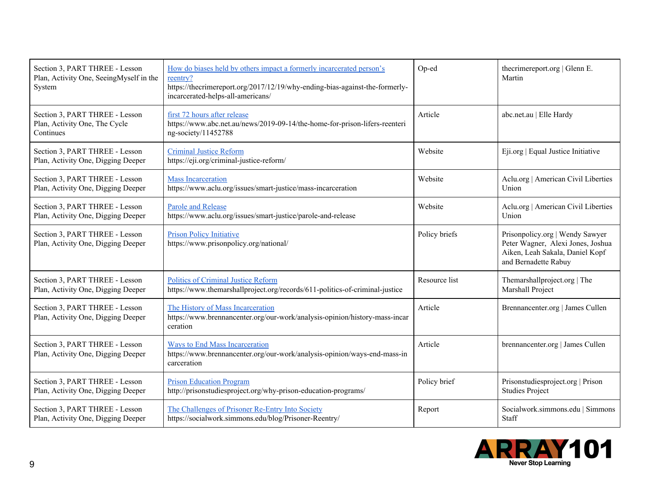| Section 3, PART THREE - Lesson<br>Plan, Activity One, SeeingMyself in the<br>System | How do biases held by others impact a formerly incarcerated person's<br>reentry?<br>https://thecrimereport.org/2017/12/19/why-ending-bias-against-the-formerly-<br>incarcerated-helps-all-americans/ | Op-ed         | thecrimereport.org   Glenn E.<br>Martin                                                                                         |
|-------------------------------------------------------------------------------------|------------------------------------------------------------------------------------------------------------------------------------------------------------------------------------------------------|---------------|---------------------------------------------------------------------------------------------------------------------------------|
| Section 3, PART THREE - Lesson<br>Plan, Activity One, The Cycle<br>Continues        | first 72 hours after release<br>https://www.abc.net.au/news/2019-09-14/the-home-for-prison-lifers-reenteri<br>ng-society/11452788                                                                    | Article       | abc.net.au   Elle Hardy                                                                                                         |
| Section 3, PART THREE - Lesson<br>Plan, Activity One, Digging Deeper                | <b>Criminal Justice Reform</b><br>https://eji.org/criminal-justice-reform/                                                                                                                           | Website       | Eji.org   Equal Justice Initiative                                                                                              |
| Section 3, PART THREE - Lesson<br>Plan, Activity One, Digging Deeper                | <b>Mass Incarceration</b><br>https://www.aclu.org/issues/smart-justice/mass-incarceration                                                                                                            | Website       | Aclu.org   American Civil Liberties<br>Union                                                                                    |
| Section 3, PART THREE - Lesson<br>Plan, Activity One, Digging Deeper                | Parole and Release<br>https://www.aclu.org/issues/smart-justice/parole-and-release                                                                                                                   | Website       | Aclu.org   American Civil Liberties<br>Union                                                                                    |
| Section 3, PART THREE - Lesson<br>Plan, Activity One, Digging Deeper                | <b>Prison Policy Initiative</b><br>https://www.prisonpolicy.org/national/                                                                                                                            | Policy briefs | Prisonpolicy.org   Wendy Sawyer<br>Peter Wagner, Alexi Jones, Joshua<br>Aiken, Leah Sakala, Daniel Kopf<br>and Bernadette Rabuy |
| Section 3, PART THREE - Lesson<br>Plan, Activity One, Digging Deeper                | <b>Politics of Criminal Justice Reform</b><br>https://www.themarshallproject.org/records/611-politics-of-criminal-justice                                                                            | Resource list | Themarshallproject.org   The<br>Marshall Project                                                                                |
| Section 3, PART THREE - Lesson<br>Plan, Activity One, Digging Deeper                | The History of Mass Incarceration<br>https://www.brennancenter.org/our-work/analysis-opinion/history-mass-incar<br>ceration                                                                          | Article       | Brennancenter.org   James Cullen                                                                                                |
| Section 3, PART THREE - Lesson<br>Plan, Activity One, Digging Deeper                | <b>Ways to End Mass Incarceration</b><br>https://www.brennancenter.org/our-work/analysis-opinion/ways-end-mass-in<br>carceration                                                                     | Article       | brennancenter.org   James Cullen                                                                                                |
| Section 3, PART THREE - Lesson<br>Plan, Activity One, Digging Deeper                | <b>Prison Education Program</b><br>http://prisonstudiesproject.org/why-prison-education-programs/                                                                                                    | Policy brief  | Prisonstudiesproject.org   Prison<br><b>Studies Project</b>                                                                     |
| Section 3, PART THREE - Lesson<br>Plan, Activity One, Digging Deeper                | The Challenges of Prisoner Re-Entry Into Society<br>https://socialwork.simmons.edu/blog/Prisoner-Reentry/                                                                                            | Report        | Socialwork.simmons.edu   Simmons<br>Staff                                                                                       |

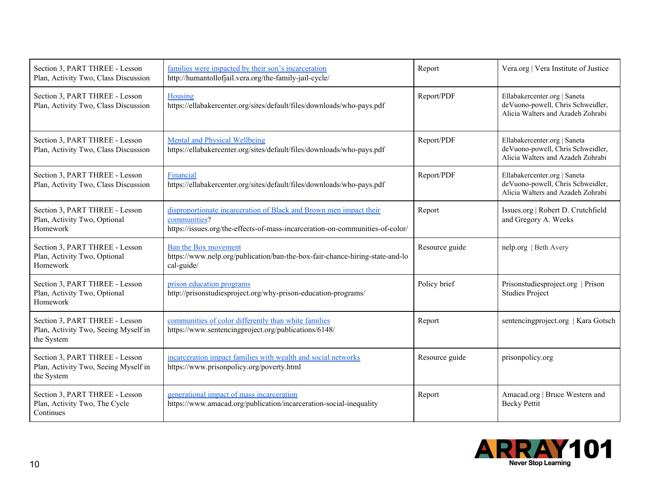| Section 3, PART THREE - Lesson<br>Plan, Activity Two, Class Discussion               | families were impacted by their son's incarceration<br>http://humantollofjail.vera.org/the-family-jail-cycle/                                                       | Report         | Vera.org   Vera Institute of Justice                                                                   |
|--------------------------------------------------------------------------------------|---------------------------------------------------------------------------------------------------------------------------------------------------------------------|----------------|--------------------------------------------------------------------------------------------------------|
| Section 3, PART THREE - Lesson<br>Plan, Activity Two, Class Discussion               | Housing<br>https://ellabakercenter.org/sites/default/files/downloads/who-pays.pdf                                                                                   | Report/PDF     | Ellabakercenter.org   Saneta<br>deVuono-powell, Chris Schweidler,<br>Alicia Walters and Azadeh Zohrabi |
| Section 3, PART THREE - Lesson<br>Plan, Activity Two, Class Discussion               | <b>Mental and Physical Wellbeing</b><br>https://ellabakercenter.org/sites/default/files/downloads/who-pays.pdf                                                      | Report/PDF     | Ellabakercenter.org   Saneta<br>deVuono-powell, Chris Schweidler,<br>Alicia Walters and Azadeh Zohrabi |
| Section 3, PART THREE - Lesson<br>Plan, Activity Two, Class Discussion               | Financial<br>https://ellabakercenter.org/sites/default/files/downloads/who-pays.pdf                                                                                 | Report/PDF     | Ellabakercenter.org   Saneta<br>deVuono-powell, Chris Schweidler,<br>Alicia Walters and Azadeh Zohrabi |
| Section 3, PART THREE - Lesson<br>Plan, Activity Two, Optional<br>Homework           | disproportionate incarceration of Black and Brown men impact their<br>communities?<br>https://issues.org/the-effects-of-mass-incarceration-on-communities-of-color/ | Report         | Issues.org   Robert D. Crutchfield<br>and Gregory A. Weeks                                             |
| Section 3, PART THREE - Lesson<br>Plan, Activity Two, Optional<br>Homework           | Ban the Box movement<br>https://www.nelp.org/publication/ban-the-box-fair-chance-hiring-state-and-lo<br>cal-guide/                                                  | Resource guide | nelp.org   Beth Avery                                                                                  |
| Section 3, PART THREE - Lesson<br>Plan, Activity Two, Optional<br>Homework           | prison education programs<br>http://prisonstudiesproject.org/why-prison-education-programs/                                                                         | Policy brief   | Prisonstudiesproject.org   Prison<br><b>Studies Project</b>                                            |
| Section 3, PART THREE - Lesson<br>Plan, Activity Two, Seeing Myself in<br>the System | communities of color differently than white families<br>https://www.sentencingproject.org/publications/6148/                                                        | Report         | sentencingproject.org   Kara Gotsch                                                                    |
| Section 3, PART THREE - Lesson<br>Plan, Activity Two, Seeing Myself in<br>the System | incarceration impact families with wealth and social networks<br>https://www.prisonpolicy.org/poverty.html                                                          | Resource guide | prisonpolicy.org                                                                                       |
| Section 3, PART THREE - Lesson<br>Plan, Activity Two, The Cycle<br>Continues         | generational impact of mass incarceration<br>https://www.amacad.org/publication/incarceration-social-inequality                                                     | Report         | Amacad.org   Bruce Western and<br><b>Becky Pettit</b>                                                  |

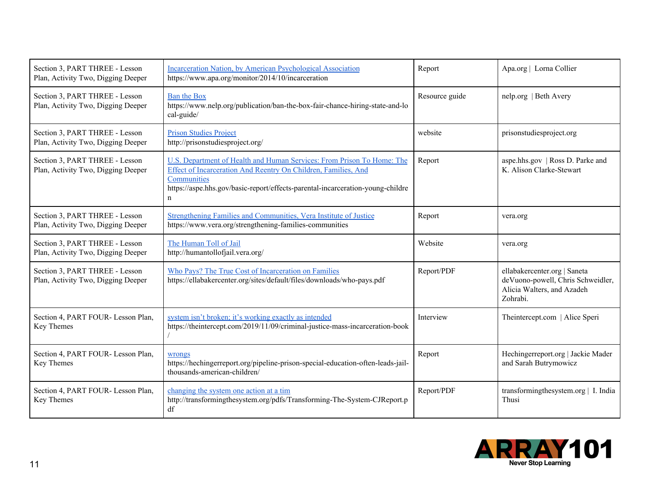| Section 3, PART THREE - Lesson<br>Plan, Activity Two, Digging Deeper | Incarceration Nation, by American Psychological Association<br>https://www.apa.org/monitor/2014/10/incarceration                                                                                                                                         | Report         | Apa.org   Lorna Collier                                                                                     |
|----------------------------------------------------------------------|----------------------------------------------------------------------------------------------------------------------------------------------------------------------------------------------------------------------------------------------------------|----------------|-------------------------------------------------------------------------------------------------------------|
| Section 3, PART THREE - Lesson<br>Plan, Activity Two, Digging Deeper | <b>Ban the Box</b><br>https://www.nelp.org/publication/ban-the-box-fair-chance-hiring-state-and-lo<br>cal-guide/                                                                                                                                         | Resource guide | nelp.org   Beth Avery                                                                                       |
| Section 3, PART THREE - Lesson<br>Plan, Activity Two, Digging Deeper | <b>Prison Studies Project</b><br>http://prisonstudiesproject.org/                                                                                                                                                                                        | website        | prisonstudiesproject.org                                                                                    |
| Section 3, PART THREE - Lesson<br>Plan, Activity Two, Digging Deeper | U.S. Department of Health and Human Services: From Prison To Home: The<br>Effect of Incarceration And Reentry On Children, Families, And<br>Communities<br>https://aspe.hhs.gov/basic-report/effects-parental-incarceration-young-childre<br>$\mathbf n$ | Report         | aspe.hhs.gov   Ross D. Parke and<br>K. Alison Clarke-Stewart                                                |
| Section 3, PART THREE - Lesson<br>Plan, Activity Two, Digging Deeper | Strengthening Families and Communities, Vera Institute of Justice<br>https://www.vera.org/strengthening-families-communities                                                                                                                             | Report         | vera.org                                                                                                    |
| Section 3, PART THREE - Lesson<br>Plan, Activity Two, Digging Deeper | The Human Toll of Jail<br>http://humantollofjail.vera.org/                                                                                                                                                                                               | Website        | vera.org                                                                                                    |
| Section 3, PART THREE - Lesson<br>Plan, Activity Two, Digging Deeper | Who Pays? The True Cost of Incarceration on Families<br>https://ellabakercenter.org/sites/default/files/downloads/who-pays.pdf                                                                                                                           | Report/PDF     | ellabakercenter.org   Saneta<br>deVuono-powell, Chris Schweidler,<br>Alicia Walters, and Azadeh<br>Zohrabi. |
| Section 4, PART FOUR- Lesson Plan,<br>Key Themes                     | system isn't broken; it's working exactly as intended<br>https://theintercept.com/2019/11/09/criminal-justice-mass-incarceration-book                                                                                                                    | Interview      | The<br>intercept.com   Alice Speri                                                                          |
| Section 4, PART FOUR- Lesson Plan,<br>Key Themes                     | wrongs<br>https://hechingerreport.org/pipeline-prison-special-education-often-leads-jail-<br>thousands-american-children/                                                                                                                                | Report         | Hechingerreport.org   Jackie Mader<br>and Sarah Butrymowicz                                                 |
| Section 4, PART FOUR- Lesson Plan,<br>Key Themes                     | changing the system one action at a tim<br>http://transformingthesystem.org/pdfs/Transforming-The-System-CJReport.p<br>df                                                                                                                                | Report/PDF     | transformingthesystem.org   I. India<br>Thusi                                                               |

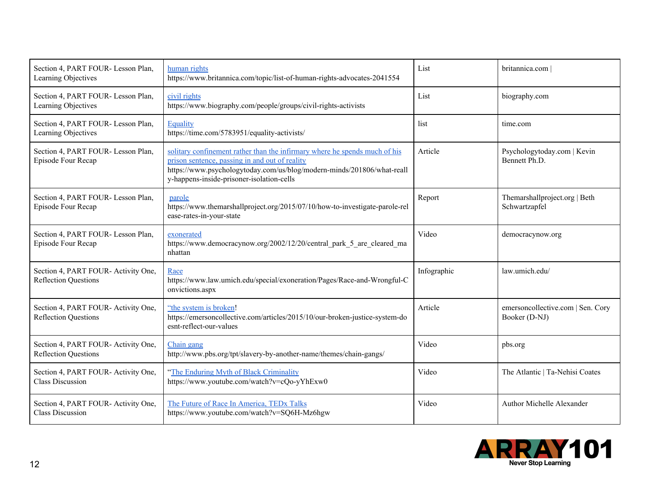| Section 4, PART FOUR-Lesson Plan,<br>Learning Objectives          | human rights<br>https://www.britannica.com/topic/list-of-human-rights-advocates-2041554                                                                                                                                                             | List        | britannica.com                                     |
|-------------------------------------------------------------------|-----------------------------------------------------------------------------------------------------------------------------------------------------------------------------------------------------------------------------------------------------|-------------|----------------------------------------------------|
| Section 4, PART FOUR-Lesson Plan,<br>Learning Objectives          | civil rights<br>https://www.biography.com/people/groups/civil-rights-activists                                                                                                                                                                      | List        | biography.com                                      |
| Section 4, PART FOUR-Lesson Plan,<br>Learning Objectives          | Equality<br>https://time.com/5783951/equality-activists/                                                                                                                                                                                            | list        | time.com                                           |
| Section 4, PART FOUR- Lesson Plan,<br>Episode Four Recap          | solitary confinement rather than the infirmary where he spends much of his<br>prison sentence, passing in and out of reality<br>https://www.psychologytoday.com/us/blog/modern-minds/201806/what-reall<br>y-happens-inside-prisoner-isolation-cells | Article     | Psychologytoday.com   Kevin<br>Bennett Ph.D.       |
| Section 4, PART FOUR-Lesson Plan,<br>Episode Four Recap           | parole<br>https://www.themarshallproject.org/2015/07/10/how-to-investigate-parole-rel<br>ease-rates-in-your-state                                                                                                                                   | Report      | Themarshallproject.org   Beth<br>Schwartzapfel     |
| Section 4, PART FOUR-Lesson Plan,<br>Episode Four Recap           | exonerated<br>https://www.democracynow.org/2002/12/20/central park 5 are cleared ma<br>nhattan                                                                                                                                                      | Video       | democracynow.org                                   |
| Section 4, PART FOUR-Activity One,<br><b>Reflection Questions</b> | Race<br>https://www.law.umich.edu/special/exoneration/Pages/Race-and-Wrongful-C<br>onvictions.aspx                                                                                                                                                  | Infographic | law.umich.edu/                                     |
| Section 4, PART FOUR-Activity One,<br><b>Reflection Questions</b> | "the system is broken!<br>https://emersoncollective.com/articles/2015/10/our-broken-justice-system-do<br>esnt-reflect-our-values                                                                                                                    | Article     | emersoncollective.com   Sen. Cory<br>Booker (D-NJ) |
| Section 4, PART FOUR-Activity One,<br><b>Reflection Questions</b> | Chain gang<br>http://www.pbs.org/tpt/slavery-by-another-name/themes/chain-gangs/                                                                                                                                                                    | Video       | pbs.org                                            |
| Section 4, PART FOUR-Activity One,<br><b>Class Discussion</b>     | "The Enduring Myth of Black Criminality<br>https://www.youtube.com/watch?v=cQo-yYhExw0                                                                                                                                                              | Video       | The Atlantic   Ta-Nehisi Coates                    |
| Section 4, PART FOUR-Activity One,<br><b>Class Discussion</b>     | The Future of Race In America, TEDx Talks<br>https://www.youtube.com/watch?v=SQ6H-Mz6hgw                                                                                                                                                            | Video       | Author Michelle Alexander                          |

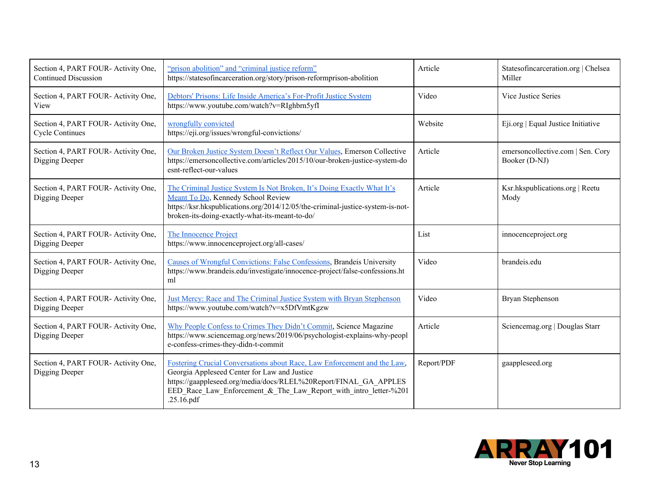| Section 4, PART FOUR-Activity One,<br><b>Continued Discussion</b> | "prison abolition" and "criminal justice reform"<br>https://statesofincarceration.org/story/prison-reformprison-abolition                                                                                                                                                      | Article    | Statesofincarceration.org   Chelsea<br>Miller      |
|-------------------------------------------------------------------|--------------------------------------------------------------------------------------------------------------------------------------------------------------------------------------------------------------------------------------------------------------------------------|------------|----------------------------------------------------|
| Section 4, PART FOUR-Activity One,<br>View                        | Debtors' Prisons: Life Inside America's For-Profit Justice System<br>https://www.youtube.com/watch?v=RIghbrn5yfI                                                                                                                                                               | Video      | Vice Justice Series                                |
| Section 4, PART FOUR-Activity One,<br><b>Cycle Continues</b>      | wrongfully convicted<br>https://eji.org/issues/wrongful-convictions/                                                                                                                                                                                                           | Website    | Eji.org   Equal Justice Initiative                 |
| Section 4, PART FOUR-Activity One,<br>Digging Deeper              | Our Broken Justice System Doesn't Reflect Our Values, Emerson Collective<br>https://emersoncollective.com/articles/2015/10/our-broken-justice-system-do<br>esnt-reflect-our-values                                                                                             | Article    | emersoncollective.com   Sen. Cory<br>Booker (D-NJ) |
| Section 4, PART FOUR-Activity One,<br>Digging Deeper              | The Criminal Justice System Is Not Broken, It's Doing Exactly What It's<br>Meant To Do, Kennedy School Review<br>https://ksr.hkspublications.org/2014/12/05/the-criminal-justice-system-is-not-<br>broken-its-doing-exactly-what-its-meant-to-do/                              | Article    | Ksr.hkspublications.org   Reetu<br>Mody            |
| Section 4, PART FOUR-Activity One,<br>Digging Deeper              | The Innocence Project<br>https://www.innocenceproject.org/all-cases/                                                                                                                                                                                                           | List       | innocenceproject.org                               |
| Section 4, PART FOUR-Activity One,<br>Digging Deeper              | Causes of Wrongful Convictions: False Confessions, Brandeis University<br>https://www.brandeis.edu/investigate/innocence-project/false-confessions.ht<br>ml                                                                                                                    | Video      | brandeis.edu                                       |
| Section 4, PART FOUR- Activity One,<br>Digging Deeper             | Just Mercy: Race and The Criminal Justice System with Bryan Stephenson<br>https://www.youtube.com/watch?v=x5DfVmtKgzw                                                                                                                                                          | Video      | Bryan Stephenson                                   |
| Section 4, PART FOUR- Activity One,<br>Digging Deeper             | Why People Confess to Crimes They Didn't Commit, Science Magazine<br>https://www.sciencemag.org/news/2019/06/psychologist-explains-why-peopl<br>e-confess-crimes-they-didn-t-commit                                                                                            | Article    | Sciencemag.org   Douglas Starr                     |
| Section 4, PART FOUR-Activity One,<br>Digging Deeper              | Fostering Crucial Conversations about Race, Law Enforcement and the Law,<br>Georgia Appleseed Center for Law and Justice<br>https://gaappleseed.org/media/docs/RLEL%20Report/FINAL GA APPLES<br>EED_Race_Law_Enforcement_&_The_Law_Report_with intro letter-%201<br>.25.16.pdf | Report/PDF | gaappleseed.org                                    |

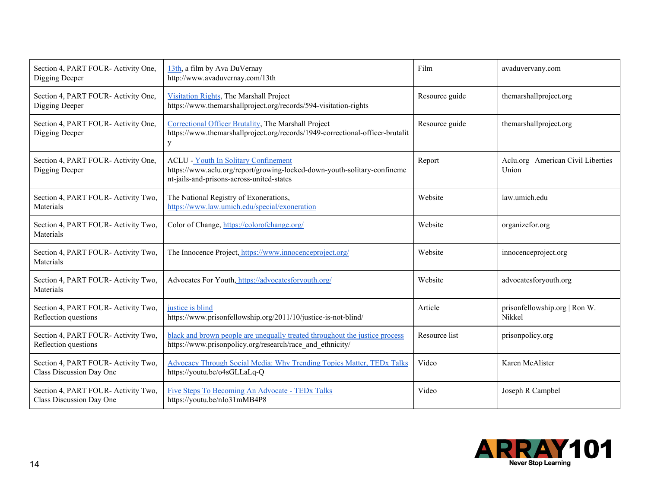| Section 4, PART FOUR-Activity One,<br>Digging Deeper           | 13th, a film by Ava DuVernay<br>http://www.avaduvernay.com/13th                                                                                                      | Film           | avaduvervany.com                             |
|----------------------------------------------------------------|----------------------------------------------------------------------------------------------------------------------------------------------------------------------|----------------|----------------------------------------------|
| Section 4, PART FOUR-Activity One,<br>Digging Deeper           | Visitation Rights, The Marshall Project<br>https://www.themarshallproject.org/records/594-visitation-rights                                                          | Resource guide | themarshallproject.org                       |
| Section 4, PART FOUR- Activity One,<br>Digging Deeper          | Correctional Officer Brutality, The Marshall Project<br>https://www.themarshallproject.org/records/1949-correctional-officer-brutalit<br>$\mathbf{y}$                | Resource guide | themarshallproject.org                       |
| Section 4, PART FOUR-Activity One,<br>Digging Deeper           | <b>ACLU - Youth In Solitary Confinement</b><br>https://www.aclu.org/report/growing-locked-down-youth-solitary-confineme<br>nt-jails-and-prisons-across-united-states | Report         | Aclu.org   American Civil Liberties<br>Union |
| Section 4, PART FOUR-Activity Two,<br>Materials                | The National Registry of Exonerations,<br>https://www.law.umich.edu/special/exoneration                                                                              | Website        | law.umich.edu                                |
| Section 4, PART FOUR-Activity Two,<br>Materials                | Color of Change, https://colorofchange.org/                                                                                                                          | Website        | organizefor.org                              |
| Section 4, PART FOUR-Activity Two,<br>Materials                | The Innocence Project, https://www.innocenceproject.org/                                                                                                             | Website        | innocenceproject.org                         |
| Section 4, PART FOUR-Activity Two,<br>Materials                | Advocates For Youth, https://advocatesforyouth.org/                                                                                                                  | Website        | advocatesforyouth.org                        |
| Section 4, PART FOUR-Activity Two,<br>Reflection questions     | justice is blind<br>https://www.prisonfellowship.org/2011/10/justice-is-not-blind/                                                                                   | Article        | prisonfellowship.org   Ron W.<br>Nikkel      |
| Section 4, PART FOUR-Activity Two,<br>Reflection questions     | black and brown people are unequally treated throughout the justice process<br>https://www.prisonpolicy.org/research/race and ethnicity/                             | Resource list  | prisonpolicy.org                             |
| Section 4, PART FOUR-Activity Two,<br>Class Discussion Day One | <b>Advocacy Through Social Media: Why Trending Topics Matter, TEDx Talks</b><br>https://youtu.be/o4sGLLaLq-Q                                                         | Video          | Karen McAlister                              |
| Section 4, PART FOUR-Activity Two,<br>Class Discussion Day One | Five Steps To Becoming An Advocate - TEDx Talks<br>https://youtu.be/nIo31mMB4P8                                                                                      | Video          | Joseph R Campbel                             |

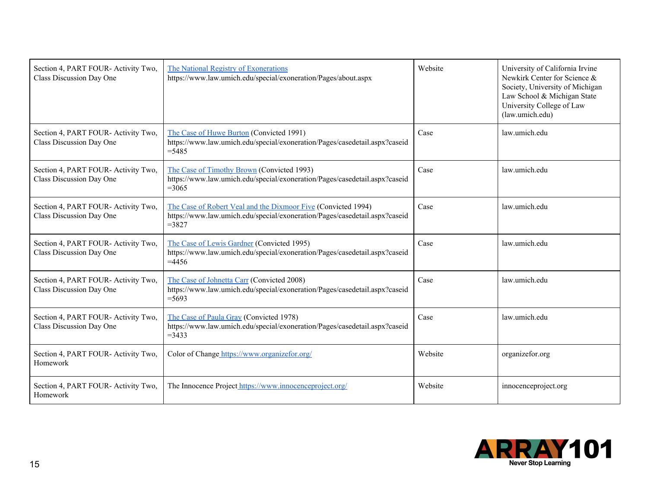| Section 4, PART FOUR-Activity Two,<br>Class Discussion Day One | The National Registry of Exonerations<br>https://www.law.umich.edu/special/exoneration/Pages/about.aspx                                                | Website | University of California Irvine<br>Newkirk Center for Science &<br>Society, University of Michigan<br>Law School & Michigan State<br>University College of Law<br>(law.umich.edu) |
|----------------------------------------------------------------|--------------------------------------------------------------------------------------------------------------------------------------------------------|---------|-----------------------------------------------------------------------------------------------------------------------------------------------------------------------------------|
| Section 4, PART FOUR-Activity Two,<br>Class Discussion Day One | The Case of Huwe Burton (Convicted 1991)<br>https://www.law.umich.edu/special/exoneration/Pages/casedetail.aspx?caseid<br>$=5485$                      | Case    | law.umich.edu                                                                                                                                                                     |
| Section 4, PART FOUR-Activity Two,<br>Class Discussion Day One | The Case of Timothy Brown (Convicted 1993)<br>https://www.law.umich.edu/special/exoneration/Pages/casedetail.aspx?caseid<br>$=3065$                    | Case    | law.umich.edu                                                                                                                                                                     |
| Section 4, PART FOUR-Activity Two,<br>Class Discussion Day One | The Case of Robert Veal and the Dixmoor Five (Convicted 1994)<br>https://www.law.umich.edu/special/exoneration/Pages/casedetail.aspx?caseid<br>$=3827$ | Case    | law.umich.edu                                                                                                                                                                     |
| Section 4, PART FOUR-Activity Two,<br>Class Discussion Day One | The Case of Lewis Gardner (Convicted 1995)<br>https://www.law.umich.edu/special/exoneration/Pages/casedetail.aspx?caseid<br>$=4456$                    | Case    | law.umich.edu                                                                                                                                                                     |
| Section 4, PART FOUR-Activity Two,<br>Class Discussion Day One | The Case of Johnetta Carr (Convicted 2008)<br>https://www.law.umich.edu/special/exoneration/Pages/casedetail.aspx?caseid<br>$= 5693$                   | Case    | law.umich.edu                                                                                                                                                                     |
| Section 4, PART FOUR-Activity Two,<br>Class Discussion Day One | The Case of Paula Gray (Convicted 1978)<br>https://www.law.umich.edu/special/exoneration/Pages/casedetail.aspx?caseid<br>$=3433$                       | Case    | law.umich.edu                                                                                                                                                                     |
| Section 4, PART FOUR-Activity Two,<br>Homework                 | Color of Change https://www.organizefor.org/                                                                                                           | Website | organizefor.org                                                                                                                                                                   |
| Section 4, PART FOUR-Activity Two,<br>Homework                 | The Innocence Project_https://www.innocenceproject.org/                                                                                                | Website | innocenceproject.org                                                                                                                                                              |

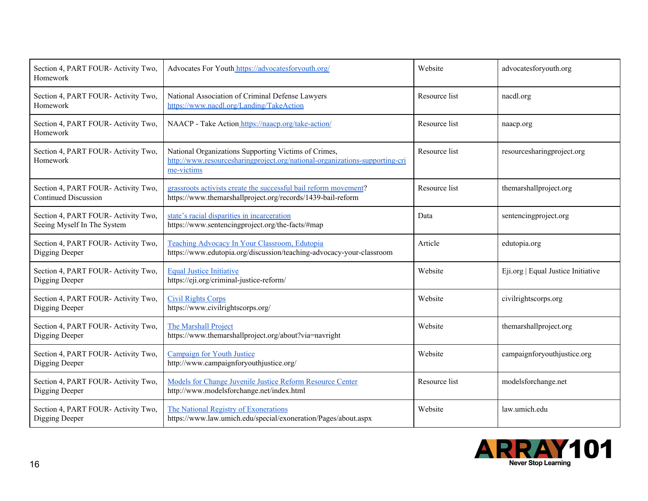| Section 4, PART FOUR-Activity Two,<br>Homework                     | Advocates For Youth https://advocatesforyouth.org/                                                                                                | Website       | advocatesforyouth.org              |
|--------------------------------------------------------------------|---------------------------------------------------------------------------------------------------------------------------------------------------|---------------|------------------------------------|
| Section 4, PART FOUR- Activity Two,<br>Homework                    | National Association of Criminal Defense Lawyers<br>https://www.nacdl.org/Landing/TakeAction                                                      | Resource list | nacdl.org                          |
| Section 4, PART FOUR- Activity Two,<br>Homework                    | NAACP - Take Action https://naacp.org/take-action/                                                                                                | Resource list | naacp.org                          |
| Section 4, PART FOUR- Activity Two,<br>Homework                    | National Organizations Supporting Victims of Crimes,<br>http://www.resourcesharingproject.org/national-organizations-supporting-cri<br>me-victims | Resource list | resourcesharingproject.org         |
| Section 4, PART FOUR- Activity Two,<br><b>Continued Discussion</b> | grassroots activists create the successful bail reform movement?<br>https://www.themarshallproject.org/records/1439-bail-reform                   | Resource list | themarshallproject.org             |
| Section 4, PART FOUR- Activity Two,<br>Seeing Myself In The System | state's racial disparities in incarceration<br>https://www.sentencingproject.org/the-facts/#map                                                   | Data          | sentencingproject.org              |
| Section 4, PART FOUR- Activity Two,<br>Digging Deeper              | Teaching Advocacy In Your Classroom, Edutopia<br>https://www.edutopia.org/discussion/teaching-advocacy-your-classroom                             | Article       | edutopia.org                       |
| Section 4, PART FOUR- Activity Two,<br>Digging Deeper              | <b>Equal Justice Initiative</b><br>https://eji.org/criminal-justice-reform/                                                                       | Website       | Eji.org   Equal Justice Initiative |
| Section 4, PART FOUR-Activity Two,<br>Digging Deeper               | <b>Civil Rights Corps</b><br>https://www.civilrightscorps.org/                                                                                    | Website       | civilrightscorps.org               |
| Section 4, PART FOUR- Activity Two,<br>Digging Deeper              | The Marshall Project<br>https://www.themarshallproject.org/about?via=navright                                                                     | Website       | themarshallproject.org             |
| Section 4, PART FOUR- Activity Two,<br>Digging Deeper              | <b>Campaign for Youth Justice</b><br>http://www.campaignforyouthjustice.org/                                                                      | Website       | campaignforyouthjustice.org        |
| Section 4, PART FOUR- Activity Two,<br>Digging Deeper              | Models for Change Juvenile Justice Reform Resource Center<br>http://www.modelsforchange.net/index.html                                            | Resource list | modelsforchange.net                |
| Section 4, PART FOUR- Activity Two,<br>Digging Deeper              | The National Registry of Exonerations<br>https://www.law.umich.edu/special/exoneration/Pages/about.aspx                                           | Website       | law.umich.edu                      |

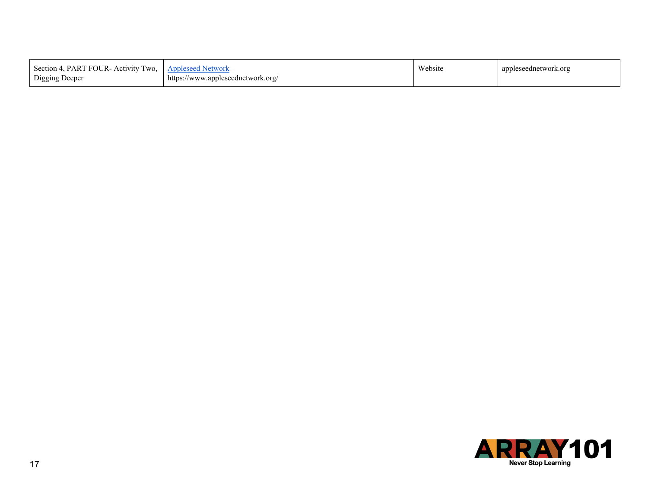| [ FOUR- Activity Two, 1<br>Section 4.<br>. PART<br>Digging Deeper | <b>Appleseed Network</b><br>https://www.appleseednetwork.org/ | Website | appleseednetwork.org |
|-------------------------------------------------------------------|---------------------------------------------------------------|---------|----------------------|
|-------------------------------------------------------------------|---------------------------------------------------------------|---------|----------------------|

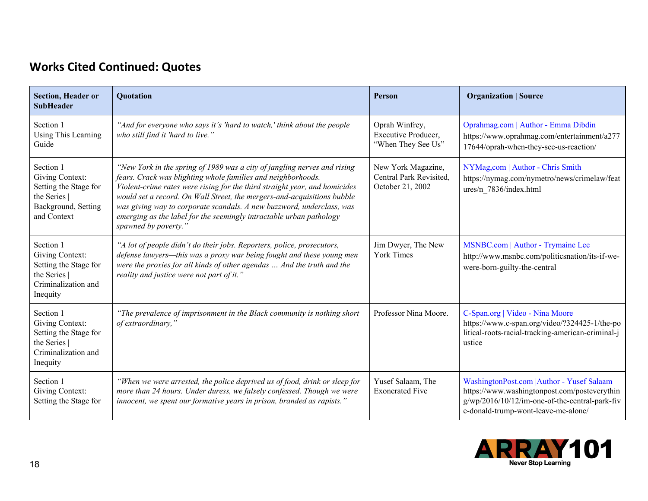## **Works Cited Continued: Quotes**

| <b>Section, Header or</b><br><b>SubHeader</b>                                                             | <b>Ouotation</b>                                                                                                                                                                                                                                                                                                                                                                                                                                                          | Person                                                            | <b>Organization   Source</b>                                                                                                                                                        |
|-----------------------------------------------------------------------------------------------------------|---------------------------------------------------------------------------------------------------------------------------------------------------------------------------------------------------------------------------------------------------------------------------------------------------------------------------------------------------------------------------------------------------------------------------------------------------------------------------|-------------------------------------------------------------------|-------------------------------------------------------------------------------------------------------------------------------------------------------------------------------------|
| Section 1<br>Using This Learning<br>Guide                                                                 | "And for everyone who says it's 'hard to watch,' think about the people<br>who still find it 'hard to live."                                                                                                                                                                                                                                                                                                                                                              | Oprah Winfrey,<br>Executive Producer,<br>"When They See Us"       | Oprahmag.com   Author - Emma Dibdin<br>https://www.oprahmag.com/entertainment/a277<br>17644/oprah-when-they-see-us-reaction/                                                        |
| Section 1<br>Giving Context:<br>Setting the Stage for<br>the Series<br>Background, Setting<br>and Context | "New York in the spring of 1989 was a city of jangling nerves and rising<br>fears. Crack was blighting whole families and neighborhoods.<br>Violent-crime rates were rising for the third straight year, and homicides<br>would set a record. On Wall Street, the mergers-and-acquisitions bubble<br>was giving way to corporate scandals. A new buzzword, underclass, was<br>emerging as the label for the seemingly intractable urban pathology<br>spawned by poverty." | New York Magazine,<br>Central Park Revisited,<br>October 21, 2002 | NYMag,com   Author - Chris Smith<br>https://nymag.com/nymetro/news/crimelaw/feat<br>ures/n 7836/index.html                                                                          |
| Section 1<br>Giving Context:<br>Setting the Stage for<br>the Series<br>Criminalization and<br>Inequity    | "A lot of people didn't do their jobs. Reporters, police, prosecutors,<br>defense lawyers-this was a proxy war being fought and these young men<br>were the proxies for all kinds of other agendas  And the truth and the<br>reality and justice were not part of it."                                                                                                                                                                                                    | Jim Dwyer, The New<br><b>York Times</b>                           | MSNBC.com   Author - Trymaine Lee<br>http://www.msnbc.com/politicsnation/its-if-we-<br>were-born-guilty-the-central                                                                 |
| Section 1<br>Giving Context:<br>Setting the Stage for<br>the Series<br>Criminalization and<br>Inequity    | "The prevalence of imprisonment in the Black community is nothing short<br>of extraordinary,"                                                                                                                                                                                                                                                                                                                                                                             | Professor Nina Moore.                                             | C-Span.org   Video - Nina Moore<br>https://www.c-span.org/video/?324425-1/the-po<br>litical-roots-racial-tracking-american-criminal-j<br>ustice                                     |
| Section 1<br>Giving Context:<br>Setting the Stage for                                                     | "When we were arrested, the police deprived us of food, drink or sleep for<br>more than 24 hours. Under duress, we falsely confessed. Though we were<br>innocent, we spent our formative years in prison, branded as rapists."                                                                                                                                                                                                                                            | Yusef Salaam, The<br><b>Exonerated Five</b>                       | WashingtonPost.com   Author - Yusef Salaam<br>https://www.washingtonpost.com/posteverythin<br>g/wp/2016/10/12/im-one-of-the-central-park-fiv<br>e-donald-trump-wont-leave-me-alone/ |

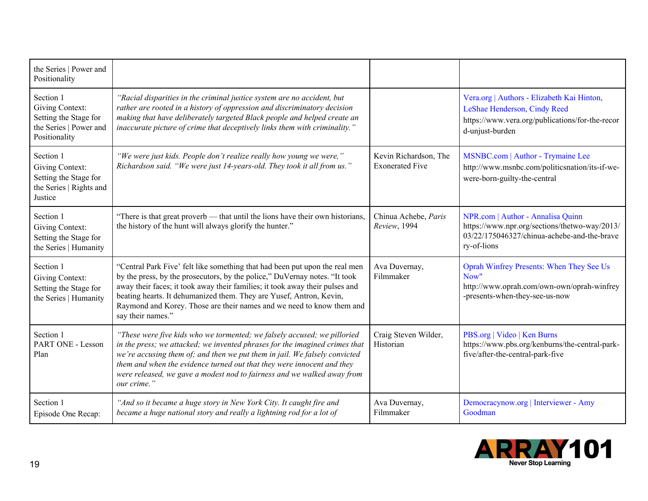| the Series   Power and<br>Positionality                                                          |                                                                                                                                                                                                                                                                                                                                                                                                                |                                                 |                                                                                                                                                  |
|--------------------------------------------------------------------------------------------------|----------------------------------------------------------------------------------------------------------------------------------------------------------------------------------------------------------------------------------------------------------------------------------------------------------------------------------------------------------------------------------------------------------------|-------------------------------------------------|--------------------------------------------------------------------------------------------------------------------------------------------------|
| Section 1<br>Giving Context:<br>Setting the Stage for<br>the Series   Power and<br>Positionality | "Racial disparities in the criminal justice system are no accident, but<br>rather are rooted in a history of oppression and discriminatory decision<br>making that have deliberately targeted Black people and helped create an<br>inaccurate picture of crime that deceptively links them with criminality."                                                                                                  |                                                 | Vera.org   Authors - Elizabeth Kai Hinton,<br>LeShae Henderson, Cindy Reed<br>https://www.vera.org/publications/for-the-recor<br>d-unjust-burden |
| Section 1<br>Giving Context:<br>Setting the Stage for<br>the Series   Rights and<br>Justice      | "We were just kids. People don't realize really how young we were,"<br>Richardson said. "We were just 14-years-old. They took it all from us."                                                                                                                                                                                                                                                                 | Kevin Richardson, The<br><b>Exonerated Five</b> | MSNBC.com   Author - Trymaine Lee<br>http://www.msnbc.com/politicsnation/its-if-we-<br>were-born-guilty-the-central                              |
| Section 1<br>Giving Context:<br>Setting the Stage for<br>the Series   Humanity                   | "There is that great proverb — that until the lions have their own historians,<br>the history of the hunt will always glorify the hunter."                                                                                                                                                                                                                                                                     | Chinua Achebe, Paris<br>Review, 1994            | NPR.com   Author - Annalisa Quinn<br>https://www.npr.org/sections/thetwo-way/2013/<br>03/22/175046327/chinua-achebe-and-the-brave<br>ry-of-lions |
| Section 1<br>Giving Context:<br>Setting the Stage for<br>the Series   Humanity                   | "Central Park Five' felt like something that had been put upon the real men<br>by the press, by the prosecutors, by the police," DuVernay notes. "It took<br>away their faces; it took away their families; it took away their pulses and<br>beating hearts. It dehumanized them. They are Yusef, Antron, Kevin,<br>Raymond and Korey. Those are their names and we need to know them and<br>say their names." | Ava Duvernay,<br>Filmmaker                      | Oprah Winfrey Presents: When They See Us<br>Now"<br>http://www.oprah.com/own-own/oprah-winfrey<br>-presents-when-they-see-us-now                 |
| Section 1<br>PART ONE - Lesson<br>Plan                                                           | "These were five kids who we tormented; we falsely accused; we pilloried<br>in the press; we attacked; we invented phrases for the imagined crimes that<br>we're accusing them of; and then we put them in jail. We falsely convicted<br>them and when the evidence turned out that they were innocent and they<br>were released, we gave a modest nod to fairness and we walked away from<br>our crime."      | Craig Steven Wilder,<br>Historian               | PBS.org   Video   Ken Burns<br>https://www.pbs.org/kenburns/the-central-park-<br>five/after-the-central-park-five                                |
| Section 1<br>Episode One Recap:                                                                  | "And so it became a huge story in New York City. It caught fire and<br>became a huge national story and really a lightning rod for a lot of                                                                                                                                                                                                                                                                    | Ava Duvernay,<br>Filmmaker                      | Democracynow.org   Interviewer - Amy<br>Goodman                                                                                                  |

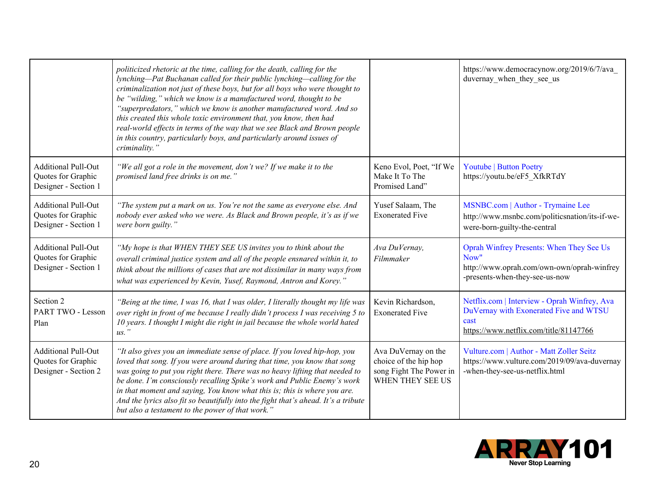|                                                                          | politicized rhetoric at the time, calling for the death, calling for the<br>lynching—Pat Buchanan called for their public lynching—calling for the<br>criminalization not just of these boys, but for all boys who were thought to<br>be "wilding," which we know is a manufactured word, thought to be<br>"superpredators," which we know is another manufactured word. And so<br>this created this whole toxic environment that, you know, then had<br>real-world effects in terms of the way that we see Black and Brown people<br>in this country, particularly boys, and particularly around issues of<br>criminality." |                                                                                             | https://www.democracynow.org/2019/6/7/ava<br>duvernay when they see us                                                                   |
|--------------------------------------------------------------------------|------------------------------------------------------------------------------------------------------------------------------------------------------------------------------------------------------------------------------------------------------------------------------------------------------------------------------------------------------------------------------------------------------------------------------------------------------------------------------------------------------------------------------------------------------------------------------------------------------------------------------|---------------------------------------------------------------------------------------------|------------------------------------------------------------------------------------------------------------------------------------------|
| <b>Additional Pull-Out</b><br>Quotes for Graphic<br>Designer - Section 1 | "We all got a role in the movement, don't we? If we make it to the<br>promised land free drinks is on me."                                                                                                                                                                                                                                                                                                                                                                                                                                                                                                                   | Keno Evol, Poet, "If We<br>Make It To The<br>Promised Land"                                 | <b>Youtube   Button Poetry</b><br>https://youtu.be/eF5 XfkRTdY                                                                           |
| <b>Additional Pull-Out</b><br>Quotes for Graphic<br>Designer - Section 1 | "The system put a mark on us. You're not the same as everyone else. And<br>nobody ever asked who we were. As Black and Brown people, it's as if we<br>were born guilty."                                                                                                                                                                                                                                                                                                                                                                                                                                                     | Yusef Salaam, The<br><b>Exonerated Five</b>                                                 | MSNBC.com   Author - Trymaine Lee<br>http://www.msnbc.com/politicsnation/its-if-we-<br>were-born-guilty-the-central                      |
| <b>Additional Pull-Out</b><br>Quotes for Graphic<br>Designer - Section 1 | "My hope is that WHEN THEY SEE US invites you to think about the<br>overall criminal justice system and all of the people ensnared within it, to<br>think about the millions of cases that are not dissimilar in many ways from<br>what was experienced by Kevin, Yusef, Raymond, Antron and Korey."                                                                                                                                                                                                                                                                                                                         | Ava DuVernay,<br>Filmmaker                                                                  | Oprah Winfrey Presents: When They See Us<br>Now"<br>http://www.oprah.com/own-own/oprah-winfrey<br>-presents-when-they-see-us-now         |
| Section 2<br>PART TWO - Lesson<br>Plan                                   | "Being at the time, I was 16, that I was older, I literally thought my life was<br>over right in front of me because I really didn't process I was receiving 5 to<br>10 years. I thought I might die right in jail because the whole world hated<br>$us.$ "                                                                                                                                                                                                                                                                                                                                                                  | Kevin Richardson,<br><b>Exonerated Five</b>                                                 | Netflix.com   Interview - Oprah Winfrey, Ava<br>DuVernay with Exonerated Five and WTSU<br>cast<br>https://www.netflix.com/title/81147766 |
| <b>Additional Pull-Out</b><br>Quotes for Graphic<br>Designer - Section 2 | "It also gives you an immediate sense of place. If you loved hip-hop, you<br>loved that song. If you were around during that time, you know that song<br>was going to put you right there. There was no heavy lifting that needed to<br>be done. I'm consciously recalling Spike's work and Public Enemy's work<br>in that moment and saying, You know what this is; this is where you are.<br>And the lyrics also fit so beautifully into the fight that's ahead. It's a tribute<br>but also a testament to the power of that work."                                                                                        | Ava DuVernay on the<br>choice of the hip hop<br>song Fight The Power in<br>WHEN THEY SEE US | Vulture.com   Author - Matt Zoller Seitz<br>https://www.vulture.com/2019/09/ava-duvernay<br>-when-they-see-us-netflix.html               |

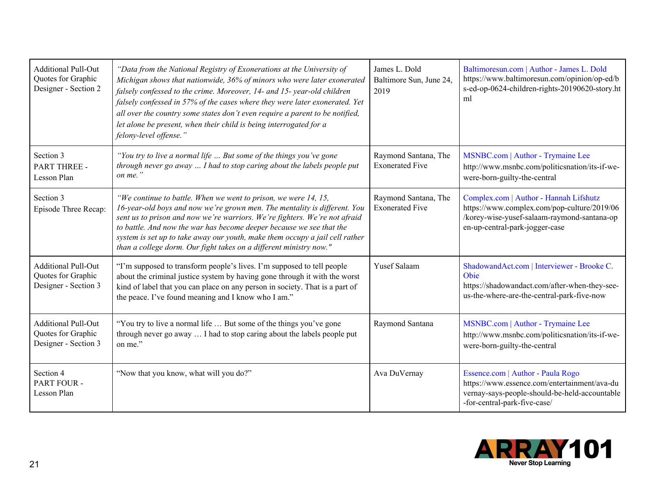| <b>Additional Pull-Out</b><br>Quotes for Graphic<br>Designer - Section 2 | "Data from the National Registry of Exonerations at the University of<br>Michigan shows that nationwide, 36% of minors who were later exonerated<br>falsely confessed to the crime. Moreover, 14- and 15-year-old children<br>falsely confessed in 57% of the cases where they were later exonerated. Yet<br>all over the country some states don't even require a parent to be notified,<br>let alone be present, when their child is being interrogated for a<br>felony-level offense." | James L. Dold<br>Baltimore Sun, June 24,<br>2019 | Baltimoresun.com   Author - James L. Dold<br>https://www.baltimoresun.com/opinion/op-ed/b<br>s-ed-op-0624-children-rights-20190620-story.ht<br>ml                      |
|--------------------------------------------------------------------------|-------------------------------------------------------------------------------------------------------------------------------------------------------------------------------------------------------------------------------------------------------------------------------------------------------------------------------------------------------------------------------------------------------------------------------------------------------------------------------------------|--------------------------------------------------|------------------------------------------------------------------------------------------------------------------------------------------------------------------------|
| Section 3<br><b>PART THREE -</b><br>Lesson Plan                          | "You try to live a normal life  But some of the things you've gone<br>through never go away  I had to stop caring about the labels people put<br>on me."                                                                                                                                                                                                                                                                                                                                  | Raymond Santana, The<br><b>Exonerated Five</b>   | MSNBC.com   Author - Trymaine Lee<br>http://www.msnbc.com/politicsnation/its-if-we-<br>were-born-guilty-the-central                                                    |
| Section 3<br>Episode Three Recap:                                        | "We continue to battle. When we went to prison, we were 14, 15,<br>16-year-old boys and now we're grown men. The mentality is different. You<br>sent us to prison and now we're warriors. We're fighters. We're not afraid<br>to battle. And now the war has become deeper because we see that the<br>system is set up to take away our youth, make them occupy a jail cell rather<br>than a college dorm. Our fight takes on a different ministry now."                                  | Raymond Santana, The<br><b>Exonerated Five</b>   | Complex.com   Author - Hannah Lifshutz<br>https://www.complex.com/pop-culture/2019/06<br>/korey-wise-yusef-salaam-raymond-santana-op<br>en-up-central-park-jogger-case |
| <b>Additional Pull-Out</b><br>Quotes for Graphic<br>Designer - Section 3 | "I'm supposed to transform people's lives. I'm supposed to tell people<br>about the criminal justice system by having gone through it with the worst<br>kind of label that you can place on any person in society. That is a part of<br>the peace. I've found meaning and I know who I am."                                                                                                                                                                                               | Yusef Salaam                                     | ShadowandAct.com   Interviewer - Brooke C.<br>Obie<br>https://shadowandact.com/after-when-they-see-<br>us-the-where-are-the-central-park-five-now                      |
| <b>Additional Pull-Out</b><br>Quotes for Graphic<br>Designer - Section 3 | "You try to live a normal life  But some of the things you've gone"<br>through never go away  I had to stop caring about the labels people put<br>on me."                                                                                                                                                                                                                                                                                                                                 | Raymond Santana                                  | MSNBC.com   Author - Trymaine Lee<br>http://www.msnbc.com/politicsnation/its-if-we-<br>were-born-guilty-the-central                                                    |
| Section 4<br>PART FOUR -<br>Lesson Plan                                  | "Now that you know, what will you do?"                                                                                                                                                                                                                                                                                                                                                                                                                                                    | Ava DuVernay                                     | Essence.com   Author - Paula Rogo<br>https://www.essence.com/entertainment/ava-du<br>vernay-says-people-should-be-held-accountable<br>-for-central-park-five-case/     |

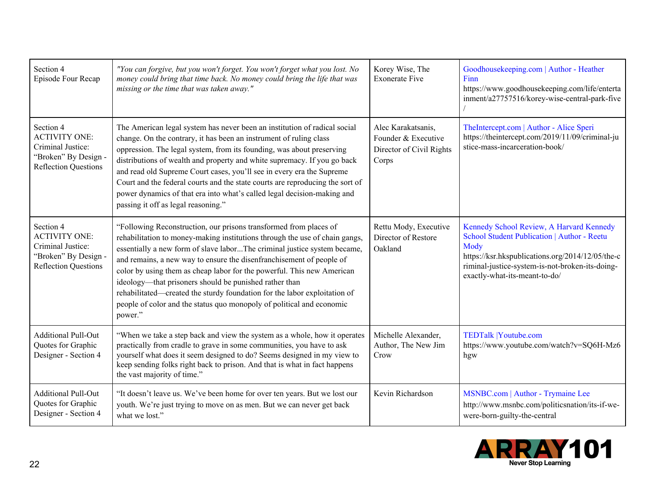| Section 4<br>Episode Four Recap                                                                               | "You can forgive, but you won't forget. You won't forget what you lost. No<br>money could bring that time back. No money could bring the life that was<br>missing or the time that was taken away."                                                                                                                                                                                                                                                                                                                                                                                                       | Korey Wise, The<br><b>Exonerate Five</b>                                       | Goodhousekeeping.com   Author - Heather<br>Finn<br>https://www.goodhousekeeping.com/life/enterta<br>inment/a27757516/korey-wise-central-park-five                                                                                       |
|---------------------------------------------------------------------------------------------------------------|-----------------------------------------------------------------------------------------------------------------------------------------------------------------------------------------------------------------------------------------------------------------------------------------------------------------------------------------------------------------------------------------------------------------------------------------------------------------------------------------------------------------------------------------------------------------------------------------------------------|--------------------------------------------------------------------------------|-----------------------------------------------------------------------------------------------------------------------------------------------------------------------------------------------------------------------------------------|
| Section 4<br><b>ACTIVITY ONE:</b><br>Criminal Justice:<br>"Broken" By Design -<br><b>Reflection Questions</b> | The American legal system has never been an institution of radical social<br>change. On the contrary, it has been an instrument of ruling class<br>oppression. The legal system, from its founding, was about preserving<br>distributions of wealth and property and white supremacy. If you go back<br>and read old Supreme Court cases, you'll see in every era the Supreme<br>Court and the federal courts and the state courts are reproducing the sort of<br>power dynamics of that era into what's called legal decision-making and<br>passing it off as legal reasoning."                          | Alec Karakatsanis,<br>Founder & Executive<br>Director of Civil Rights<br>Corps | TheIntercept.com   Author - Alice Speri<br>https://theintercept.com/2019/11/09/criminal-ju<br>stice-mass-incarceration-book/                                                                                                            |
| Section 4<br><b>ACTIVITY ONE:</b><br>Criminal Justice:<br>"Broken" By Design -<br><b>Reflection Questions</b> | "Following Reconstruction, our prisons transformed from places of<br>rehabilitation to money-making institutions through the use of chain gangs,<br>essentially a new form of slave laborThe criminal justice system became,<br>and remains, a new way to ensure the disenfranchisement of people of<br>color by using them as cheap labor for the powerful. This new American<br>ideology—that prisoners should be punished rather than<br>rehabilitated—created the sturdy foundation for the labor exploitation of<br>people of color and the status quo monopoly of political and economic<br>power." | Rettu Mody, Executive<br>Director of Restore<br>Oakland                        | Kennedy School Review, A Harvard Kennedy<br>School Student Publication   Author - Reetu<br>Mody<br>https://ksr.hkspublications.org/2014/12/05/the-c<br>riminal-justice-system-is-not-broken-its-doing-<br>exactly-what-its-meant-to-do/ |
| <b>Additional Pull-Out</b><br>Quotes for Graphic<br>Designer - Section 4                                      | "When we take a step back and view the system as a whole, how it operates<br>practically from cradle to grave in some communities, you have to ask<br>yourself what does it seem designed to do? Seems designed in my view to<br>keep sending folks right back to prison. And that is what in fact happens<br>the vast majority of time."                                                                                                                                                                                                                                                                 | Michelle Alexander,<br>Author, The New Jim<br>Crow                             | <b>TEDTalk  Youtube.com</b><br>https://www.youtube.com/watch?v=SQ6H-Mz6<br>hgw                                                                                                                                                          |
| <b>Additional Pull-Out</b><br>Quotes for Graphic<br>Designer - Section 4                                      | "It doesn't leave us. We've been home for over ten years. But we lost our<br>youth. We're just trying to move on as men. But we can never get back<br>what we lost."                                                                                                                                                                                                                                                                                                                                                                                                                                      | Kevin Richardson                                                               | MSNBC.com   Author - Trymaine Lee<br>http://www.msnbc.com/politicsnation/its-if-we-<br>were-born-guilty-the-central                                                                                                                     |